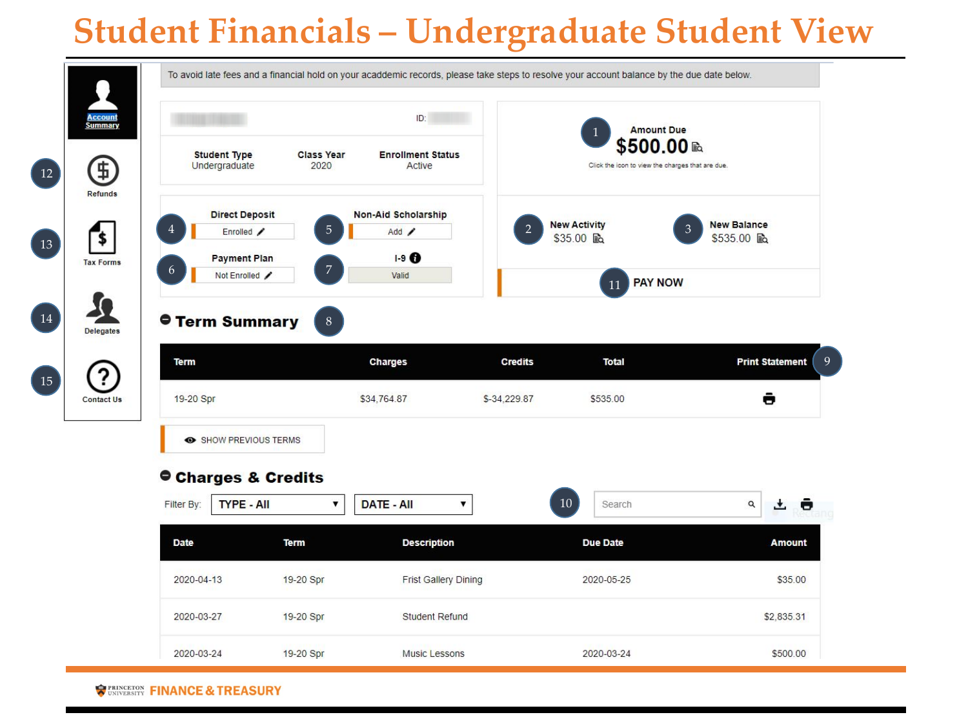## **Student Financials – Undergraduate Student View**

|                          |                                       |                           | ID:                                |                                |                          | <b>Amount Due</b>                                              |
|--------------------------|---------------------------------------|---------------------------|------------------------------------|--------------------------------|--------------------------|----------------------------------------------------------------|
|                          | <b>Student Type</b><br>Undergraduate  | <b>Class Year</b><br>2020 | <b>Enrollment Status</b><br>Active |                                |                          | \$500.00 ₪<br>Click the icon to view the charges that are due. |
|                          | <b>Direct Deposit</b>                 |                           | <b>Non-Aid Scholarship</b>         |                                | <b>New Activity</b>      | <b>New Balance</b><br>3                                        |
|                          | Enrolled /                            | 5                         | Add $\angle$                       |                                | \$35.00 là               | \$535.00 mg                                                    |
| 6                        | <b>Payment Plan</b><br>Not Enrolled / | 7                         | $1-9$ $\bullet$<br>Valid           |                                |                          |                                                                |
|                          |                                       |                           |                                    |                                | 11                       | <b>PAY NOW</b>                                                 |
|                          |                                       |                           |                                    |                                |                          |                                                                |
| <b>Term</b><br>19-20 Spr |                                       |                           | <b>Charges</b><br>\$34,764.87      | <b>Credits</b><br>\$-34,229.87 | <b>Total</b><br>\$535.00 | <b>Print Statement</b><br>ê                                    |
|                          | SHOW PREVIOUS TERMS                   |                           |                                    |                                |                          |                                                                |
|                          | Charges & Credits                     |                           |                                    |                                |                          |                                                                |
| Filter By:               | <b>TYPE - All</b>                     | ▼                         | <b>DATE - All</b><br>7             |                                | 10<br>Search             | $\mathsf Q$<br>$\cdot$                                         |
| <b>Date</b>              |                                       | <b>Term</b>               | <b>Description</b>                 |                                | <b>Due Date</b>          | <b>Amount</b>                                                  |
| 2020-04-13               |                                       | 19-20 Spr                 | <b>Frist Gallery Dining</b>        |                                | 2020-05-25               | \$35.00                                                        |
| 2020-03-27               |                                       | 19-20 Spr                 | <b>Student Refund</b>              |                                |                          | \$2,835.31                                                     |

**REASURY FINANCE & TREASURY**